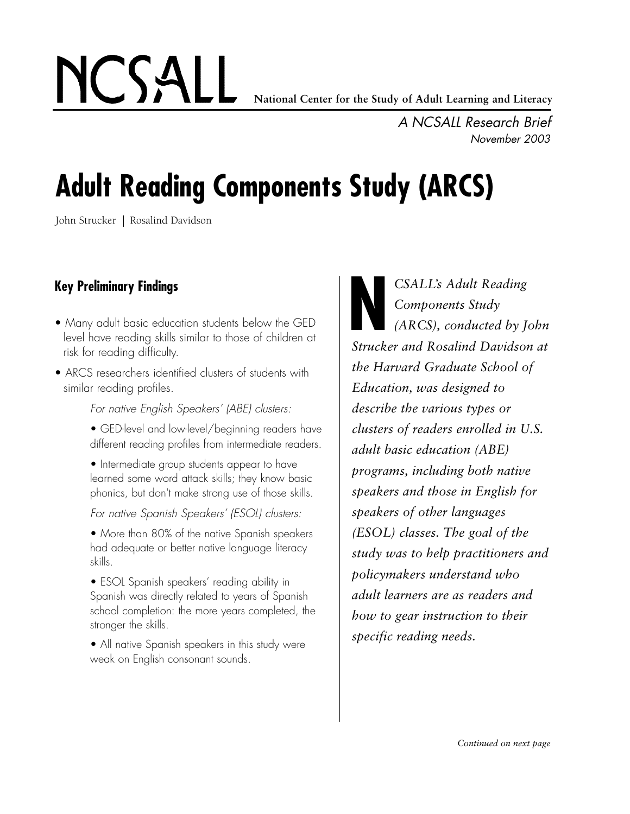**National Center for the Study of Adult Learning and Literacy**

*A NCSALL Research Brief November 2003*

# **Adult Reading Components Study (ARCS)**

John Strucker | Rosalind Davidson

NCSALL

# **Key Preliminary Findings**

- Many adult basic education students below the GED level have reading skills similar to those of children at risk for reading difficulty.
- ARCS researchers identified clusters of students with similar reading profiles.

*For native English Speakers' (ABE) clusters:*

- GED-level and low-level/beginning readers have different reading profiles from intermediate readers.
- Intermediate group students appear to have learned some word attack skills; they know basic phonics, but don't make strong use of those skills.

### *For native Spanish Speakers' (ESOL) clusters:*

• More than 80% of the native Spanish speakers had adequate or better native language literacy skills.

• ESOL Spanish speakers' reading ability in Spanish was directly related to years of Spanish school completion: the more years completed, the stronger the skills.

• All native Spanish speakers in this study were weak on English consonant sounds.

*CSALL's Adult Reading Components Study (ARCS), conducted by John* **SKALL's Adult Reading<br>
Components Study<br>
(ARCS), conducted by John<br>
Strucker and Rosalind Davidson at** *the Harvard Graduate School of Education, was designed to describe the various types or clusters of readers enrolled in U.S. adult basic education (ABE) programs, including both native speakers and those in English for speakers of other languages (ESOL) classes. The goal of the study was to help practitioners and policymakers understand who adult learners are as readers and how to gear instruction to their specific reading needs.*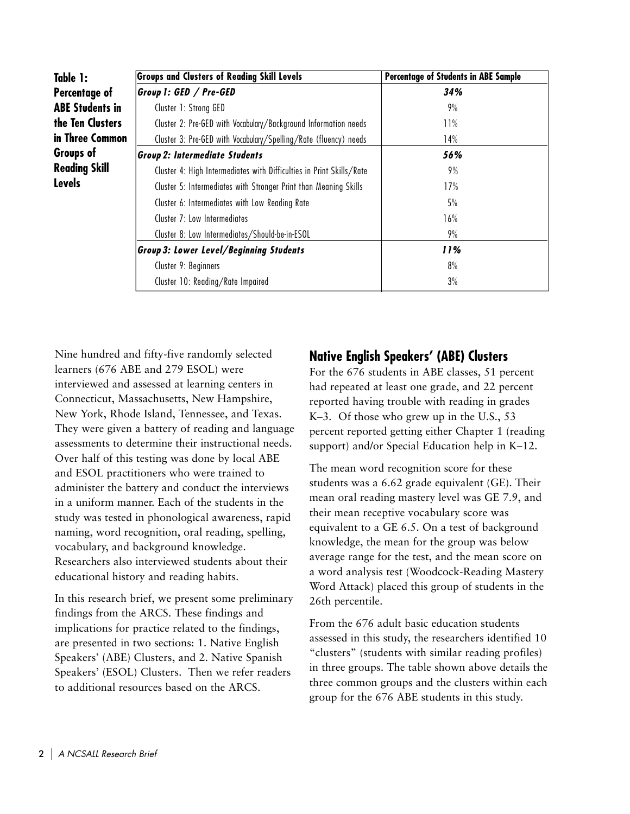| Table 1:             | <b>Groups and Clusters of Reading Skill Levels</b>                   | <b>Percentage of Students in ABE Sample</b> |
|----------------------|----------------------------------------------------------------------|---------------------------------------------|
| Percentage of        | Group 1: GED / Pre-GED                                               | 34%                                         |
| ABE Students in      | Cluster 1: Strong GED                                                | 9%                                          |
| the Ten Clusters     | Cluster 2: Pre-GED with Vocabulary/Background Information needs      | 11%                                         |
| in Three Common      | Cluster 3: Pre-GED with Vocabulary/Spelling/Rate (fluency) needs     | 14%                                         |
| Groups of            | <b>Group 2: Intermediate Students</b>                                | 56%                                         |
| <b>Reading Skill</b> | Cluster 4: High Intermediates with Difficulties in Print Skills/Rate | 9%                                          |
| Levels               | Cluster 5: Intermediates with Stronger Print than Meaning Skills     | 17%                                         |
|                      | Cluster 6: Intermediates with Low Reading Rate                       | 5%                                          |
|                      | Cluster 7: Low Intermediates                                         | 16%                                         |
|                      | Cluster 8: Low Intermediates/Should-be-in-ESOL                       | 9%                                          |
|                      | <b>Group 3: Lower Level/Beginning Students</b>                       | 11%                                         |
|                      | Cluster 9: Beginners                                                 | 8%                                          |
|                      | Cluster 10: Reading/Rate Impaired                                    | 3%                                          |
|                      |                                                                      |                                             |

Nine hundred and fifty-five randomly selected learners (676 ABE and 279 ESOL) were interviewed and assessed at learning centers in Connecticut, Massachusetts, New Hampshire, New York, Rhode Island, Tennessee, and Texas. They were given a battery of reading and language assessments to determine their instructional needs. Over half of this testing was done by local ABE and ESOL practitioners who were trained to administer the battery and conduct the interviews in a uniform manner. Each of the students in the study was tested in phonological awareness, rapid naming, word recognition, oral reading, spelling, vocabulary, and background knowledge. Researchers also interviewed students about their educational history and reading habits.

In this research brief, we present some preliminary findings from the ARCS. These findings and implications for practice related to the findings, are presented in two sections: 1. Native English Speakers' (ABE) Clusters, and 2. Native Spanish Speakers' (ESOL) Clusters. Then we refer readers to additional resources based on the ARCS.

## **Native English Speakers' (ABE) Clusters**

For the 676 students in ABE classes, 51 percent had repeated at least one grade, and 22 percent reported having trouble with reading in grades K–3. Of those who grew up in the U.S., 53 percent reported getting either Chapter 1 (reading support) and/or Special Education help in K–12.

The mean word recognition score for these students was a 6.62 grade equivalent (GE). Their mean oral reading mastery level was GE 7.9, and their mean receptive vocabulary score was equivalent to a GE 6.5. On a test of background knowledge, the mean for the group was below average range for the test, and the mean score on a word analysis test (Woodcock-Reading Mastery Word Attack) placed this group of students in the 26th percentile.

From the 676 adult basic education students assessed in this study, the researchers identified 10 "clusters" (students with similar reading profiles) in three groups. The table shown above details the three common groups and the clusters within each group for the 676 ABE students in this study.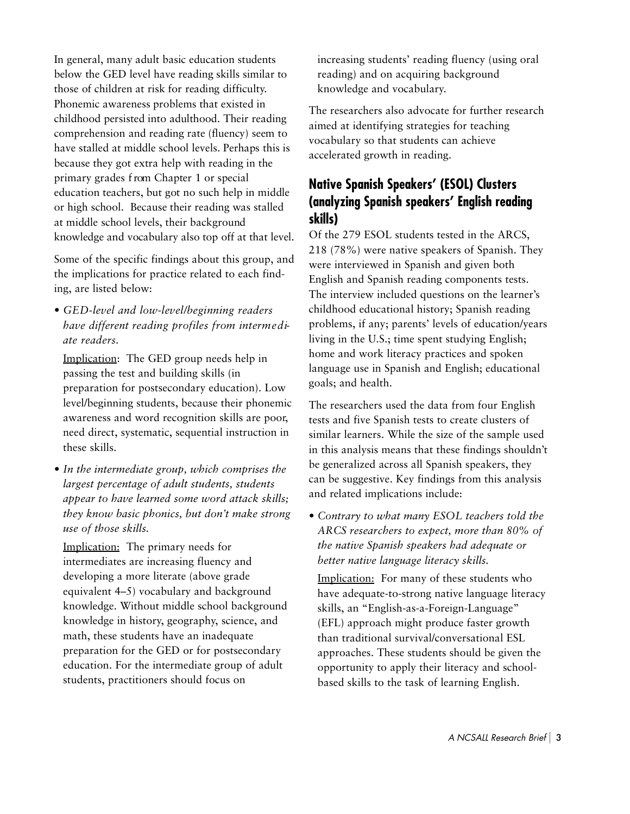In general, many adult basic education students below the GED level have reading skills similar to those of children at risk for reading difficulty. Phonemic awareness problems that existed in childhood persisted into adulthood. Their reading comprehension and reading rate (fluency) seem to have stalled at middle school levels. Perhaps this is because they got extra help with reading in the primary grades f rom Chapter 1 or special education teachers, but got no such help in middle or high school. Because their reading was stalled at middle school levels, their background knowledge and vocabulary also top off at that level.

Some of the specific findings about this group, and the implications for practice related to each finding, are listed below:

• *GED-level and low-level/beginning readers h a v e different reading profiles from interm e d iate readers.* 

Implication: The GED group needs help in passing the test and building skills (in preparation for postsecondary education). Low level/beginning students, because their phonemic awareness and word recognition skills are poor, need direct, systematic, sequential instruction in these skills.

*• In the intermediate group, which comprises the largest percentage of adult students, students appear to have learned some word attack skills; they know basic phonics, but don't make strong use of those skills.* 

Implication: The primary needs for intermediates are increasing fluency and developing a more literate (above grade equivalent 4–5) vocabulary and background knowledge. Without middle school background knowledge in history, geography, science, and math, these students have an inadequate preparation for the GED or for postsecondary education. For the intermediate group of adult students, practitioners should focus on

increasing students' reading fluency (using oral reading) and on acquiring background knowledge and vocabulary.

The researchers also advocate for further research aimed at identifying strategies for teaching vocabulary so that students can achieve accelerated growth in reading.

# **Native Spanish Speakers' (ESOL) Clusters (analyzing Spanish speakers' English reading skills)**

Of the 279 ESOL students tested in the ARCS, 218 (78%) were native speakers of Spanish. They were interviewed in Spanish and given both English and Spanish reading components tests. The interview included questions on the learner's childhood educational history; Spanish reading problems, if any; parents' levels of education/years living in the U.S.; time spent studying English; home and work literacy practices and spoken language use in Spanish and English; educational goals; and health.

The researchers used the data from four English tests and five Spanish tests to create clusters of similar learners. While the size of the sample used in this analysis means that these findings shouldn't be generalized across all Spanish speakers, they can be suggestive. Key findings from this analysis and related implications include:

*• Contrary to what many ESOL teachers told the ARCS researchers to expect, more than 80% of the native Spanish speakers had adequate or better native language literacy skills.*

Implication: For many of these students who have adequate-to-strong native language literacy skills, an "English-as-a-Foreign-Language" (EFL) approach might produce faster growth than traditional survival/conversational ESL approaches. These students should be given the opportunity to apply their literacy and schoolbased skills to the task of learning English.